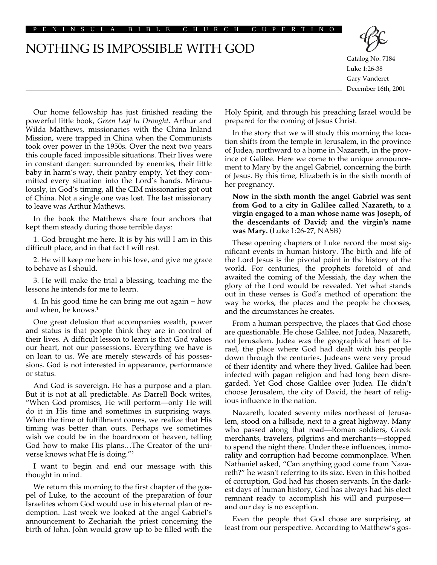PENINSULA BIBLE CHURCH CUPERTINO

NOTHING IS IMPOSSIBLE WITH GOD



Catalog No. 7184 Luke 1:26-38 Gary Vanderet December 16th, 2001

Our home fellowship has just finished reading the powerful little book, *Green Leaf In Drought*. Arthur and Wilda Matthews, missionaries with the China Inland Mission, were trapped in China when the Communists took over power in the 1950s. Over the next two years this couple faced impossible situations. Their lives were in constant danger: surrounded by enemies, their little baby in harm's way, their pantry empty. Yet they committed every situation into the Lord's hands. Miraculously, in God's timing, all the CIM missionaries got out of China. Not a single one was lost. The last missionary to leave was Arthur Mathews.

In the book the Matthews share four anchors that kept them steady during those terrible days:

1. God brought me here. It is by his will I am in this difficult place, and in that fact I will rest.

2. He will keep me here in his love, and give me grace to behave as I should.

3. He will make the trial a blessing, teaching me the lessons he intends for me to learn.

4. In his good time he can bring me out again – how and when, he knows.<sup>1</sup>

One great delusion that accompanies wealth, power and status is that people think they are in control of their lives. A difficult lesson to learn is that God values our heart, not our possessions. Everything we have is on loan to us. We are merely stewards of his possessions. God is not interested in appearance, performance or status.

And God is sovereign. He has a purpose and a plan. But it is not at all predictable. As Darrell Bock writes, "When God promises, He will perform—only He will do it in His time and sometimes in surprising ways. When the time of fulfillment comes, we realize that His timing was better than ours. Perhaps we sometimes wish we could be in the boardroom of heaven, telling God how to make His plans…The Creator of the universe knows what He is doing."2

I want to begin and end our message with this thought in mind.

We return this morning to the first chapter of the gospel of Luke, to the account of the preparation of four Israelites whom God would use in his eternal plan of redemption. Last week we looked at the angel Gabriel's announcement to Zechariah the priest concerning the birth of John. John would grow up to be filled with the

Holy Spirit, and through his preaching Israel would be prepared for the coming of Jesus Christ.

In the story that we will study this morning the location shifts from the temple in Jerusalem, in the province of Judea, northward to a home in Nazareth, in the province of Galilee. Here we come to the unique announcement to Mary by the angel Gabriel, concerning the birth of Jesus. By this time, Elizabeth is in the sixth month of her pregnancy.

## **Now in the sixth month the angel Gabriel was sent from God to a city in Galilee called Nazareth, to a virgin engaged to a man whose name was Joseph, of the descendants of David; and the virgin's name was Mary.** (Luke 1:26-27, NASB)

These opening chapters of Luke record the most significant events in human history. The birth and life of the Lord Jesus is the pivotal point in the history of the world. For centuries, the prophets foretold of and awaited the coming of the Messiah, the day when the glory of the Lord would be revealed. Yet what stands out in these verses is God's method of operation: the way he works, the places and the people he chooses, and the circumstances he creates.

From a human perspective, the places that God chose are questionable. He chose Galilee, not Judea, Nazareth, not Jerusalem. Judea was the geographical heart of Israel, the place where God had dealt with his people down through the centuries. Judeans were very proud of their identity and where they lived. Galilee had been infected with pagan religion and had long been disregarded. Yet God chose Galilee over Judea. He didn't choose Jerusalem, the city of David, the heart of religious influence in the nation.

Nazareth, located seventy miles northeast of Jerusalem, stood on a hillside, next to a great highway. Many who passed along that road—Roman soldiers, Greek merchants, travelers, pilgrims and merchants—stopped to spend the night there. Under these influences, immorality and corruption had become commonplace. When Nathaniel asked, "Can anything good come from Nazareth?" he wasn't referring to its size. Even in this hotbed of corruption, God had his chosen servants. In the darkest days of human history, God has always had his elect remnant ready to accomplish his will and purpose and our day is no exception.

Even the people that God chose are surprising, at least from our perspective. According to Matthew's gos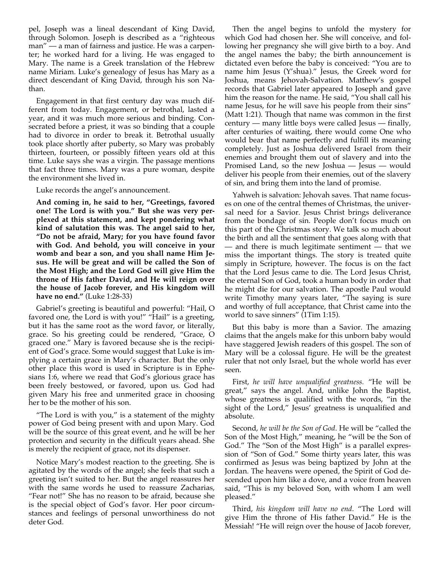pel, Joseph was a lineal descendant of King David, through Solomon. Joseph is described as a "righteous man" — a man of fairness and justice. He was a carpenter; he worked hard for a living. He was engaged to Mary. The name is a Greek translation of the Hebrew name Miriam. Luke's genealogy of Jesus has Mary as a direct descendant of King David, through his son Nathan.

Engagement in that first century day was much different from today. Engagement, or betrothal, lasted a year, and it was much more serious and binding. Consecrated before a priest, it was so binding that a couple had to divorce in order to break it. Betrothal usually took place shortly after puberty, so Mary was probably thirteen, fourteen, or possibly fifteen years old at this time. Luke says she was a virgin. The passage mentions that fact three times. Mary was a pure woman, despite the environment she lived in.

Luke records the angel's announcement.

**And coming in, he said to her, "Greetings, favored one! The Lord is with you." But she was very perplexed at this statement, and kept pondering what kind of salutation this was. The angel said to her, "Do not be afraid, Mary; for you have found favor with God. And behold, you will conceive in your womb and bear a son, and you shall name Him Jesus. He will be great and will be called the Son of the Most High; and the Lord God will give Him the throne of His father David, and He will reign over the house of Jacob forever, and His kingdom will have no end."** (Luke 1:28-33)

Gabriel's greeting is beautiful and powerful: "Hail, O favored one, the Lord is with you!" "Hail" is a greeting, but it has the same root as the word favor, or literally, grace. So his greeting could be rendered, "Grace, O graced one." Mary is favored because she is the recipient of God's grace. Some would suggest that Luke is implying a certain grace in Mary's character. But the only other place this word is used in Scripture is in Ephesians 1:6, where we read that God's glorious grace has been freely bestowed, or favored, upon us. God had given Mary his free and unmerited grace in choosing her to be the mother of his son.

"The Lord is with you," is a statement of the mighty power of God being present with and upon Mary. God will be the source of this great event, and he will be her protection and security in the difficult years ahead. She is merely the recipient of grace, not its dispenser.

Notice Mary's modest reaction to the greeting. She is agitated by the words of the angel; she feels that such a greeting isn't suited to her. But the angel reassures her with the same words he used to reassure Zacharias, "Fear not!" She has no reason to be afraid, because she is the special object of God's favor. Her poor circumstances and feelings of personal unworthiness do not deter God.

Then the angel begins to unfold the mystery for which God had chosen her. She will conceive, and following her pregnancy she will give birth to a boy. And the angel names the baby; the birth announcement is dictated even before the baby is conceived: "You are to name him Jesus (Y'shua)." Jesus, the Greek word for Joshua, means Jehovah-Salvation. Matthew's gospel records that Gabriel later appeared to Joseph and gave him the reason for the name. He said, "You shall call his name Jesus, for he will save his people from their sins" (Matt 1:21). Though that name was common in the first century — many little boys were called Jesus — finally, after centuries of waiting, there would come One who would bear that name perfectly and fulfill its meaning completely. Just as Joshua delivered Israel from their enemies and brought them out of slavery and into the Promised Land, so the new Joshua — Jesus — would deliver his people from their enemies, out of the slavery of sin, and bring them into the land of promise.

Yahweh is salvation: Jehovah saves. That name focuses on one of the central themes of Christmas, the universal need for a Savior. Jesus Christ brings deliverance from the bondage of sin. People don't focus much on this part of the Christmas story. We talk so much about the birth and all the sentiment that goes along with that — and there is much legitimate sentiment — that we miss the important things. The story is treated quite simply in Scripture, however. The focus is on the fact that the Lord Jesus came to die. The Lord Jesus Christ, the eternal Son of God, took a human body in order that he might die for our salvation. The apostle Paul would write Timothy many years later, "The saying is sure and worthy of full acceptance, that Christ came into the world to save sinners" (1Tim 1:15).

But this baby is more than a Savior. The amazing claims that the angels make for this unborn baby would have staggered Jewish readers of this gospel. The son of Mary will be a colossal figure. He will be the greatest ruler that not only Israel, but the whole world has ever seen.

First, *he will have unqualified greatness.* "He will be great," says the angel. And, unlike John the Baptist, whose greatness is qualified with the words, "in the sight of the Lord," Jesus' greatness is unqualified and absolute.

Second, *he will be the Son of God*. He will be "called the Son of the Most High," meaning, he "will be the Son of God." The "Son of the Most High" is a parallel expression of "Son of God." Some thirty years later, this was confirmed as Jesus was being baptized by John at the Jordan. The heavens were opened, the Spirit of God descended upon him like a dove, and a voice from heaven said, "This is my beloved Son, with whom I am well pleased."

Third, *his kingdom will have no end*. "The Lord will give Him the throne of His father David." He is the Messiah! "He will reign over the house of Jacob forever,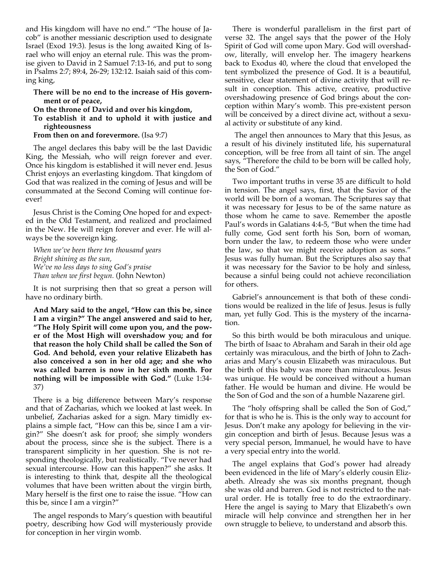and His kingdom will have no end." "The house of Jacob" is another messianic description used to designate Israel (Exod 19:3). Jesus is the long awaited King of Israel who will enjoy an eternal rule. This was the promise given to David in 2 Samuel 7:13-16, and put to song in Psalms 2:7; 89:4, 26-29; 132:12. Isaiah said of this coming king,

## **There will be no end to the increase of His government or of peace,**

**On the throne of David and over his kingdom,** 

**To establish it and to uphold it with justice and righteousness** 

**From then on and forevermore.** (Isa 9:7)

The angel declares this baby will be the last Davidic King, the Messiah, who will reign forever and ever. Once his kingdom is established it will never end. Jesus Christ enjoys an everlasting kingdom. That kingdom of God that was realized in the coming of Jesus and will be consummated at the Second Coming will continue forever!

Jesus Christ is the Coming One hoped for and expected in the Old Testament, and realized and proclaimed in the New. He will reign forever and ever. He will always be the sovereign king.

*When we've been there ten thousand years Bright shining as the sun, We've no less days to sing God's praise Than when we first begun.* (John Newton)

It is not surprising then that so great a person will have no ordinary birth.

**And Mary said to the angel, "How can this be, since I am a virgin?" The angel answered and said to her, "The Holy Spirit will come upon you, and the power of the Most High will overshadow you; and for that reason the holy Child shall be called the Son of God. And behold, even your relative Elizabeth has also conceived a son in her old age; and she who was called barren is now in her sixth month. For nothing will be impossible with God."** (Luke 1:34- 37)

There is a big difference between Mary's response and that of Zacharias, which we looked at last week. In unbelief, Zacharias asked for a sign. Mary timidly explains a simple fact, "How can this be, since I am a virgin?" She doesn't ask for proof; she simply wonders about the process, since she is the subject. There is a transparent simplicity in her question. She is not responding theologically, but realistically. "I've never had sexual intercourse. How can this happen?" she asks. It is interesting to think that, despite all the theological volumes that have been written about the virgin birth, Mary herself is the first one to raise the issue. "How can this be, since I am a virgin?"

The angel responds to Mary's question with beautiful poetry, describing how God will mysteriously provide for conception in her virgin womb.

There is wonderful parallelism in the first part of verse 32. The angel says that the power of the Holy Spirit of God will come upon Mary. God will overshadow, literally, will envelop her. The imagery hearkens back to Exodus 40, where the cloud that enveloped the tent symbolized the presence of God. It is a beautiful, sensitive, clear statement of divine activity that will result in conception. This active, creative, productive overshadowing presence of God brings about the conception within Mary's womb. This pre-existent person will be conceived by a direct divine act, without a sexual activity or substitute of any kind.

The angel then announces to Mary that this Jesus, as a result of his divinely instituted life, his supernatural conception, will be free from all taint of sin. The angel says, "Therefore the child to be born will be called holy, the Son of God."

Two important truths in verse 35 are difficult to hold in tension. The angel says, first, that the Savior of the world will be born of a woman. The Scriptures say that it was necessary for Jesus to be of the same nature as those whom he came to save. Remember the apostle Paul's words in Galatians 4:4-5, "But when the time had fully come, God sent forth his Son, born of woman, born under the law, to redeem those who were under the law, so that we might receive adoption as sons." Jesus was fully human. But the Scriptures also say that it was necessary for the Savior to be holy and sinless, because a sinful being could not achieve reconciliation for others.

Gabriel's announcement is that both of these conditions would be realized in the life of Jesus. Jesus is fully man, yet fully God. This is the mystery of the incarnation.

So this birth would be both miraculous and unique. The birth of Isaac to Abraham and Sarah in their old age certainly was miraculous, and the birth of John to Zacharias and Mary's cousin Elizabeth was miraculous. But the birth of this baby was more than miraculous. Jesus was unique. He would be conceived without a human father. He would be human and divine. He would be the Son of God and the son of a humble Nazarene girl.

The "holy offspring shall be called the Son of God," for that is who he is. This is the only way to account for Jesus. Don't make any apology for believing in the virgin conception and birth of Jesus. Because Jesus was a very special person, Immanuel, he would have to have a very special entry into the world.

The angel explains that God's power had already been evidenced in the life of Mary's elderly cousin Elizabeth. Already she was six months pregnant, though she was old and barren. God is not restricted to the natural order. He is totally free to do the extraordinary. Here the angel is saying to Mary that Elizabeth's own miracle will help convince and strengthen her in her own struggle to believe, to understand and absorb this.